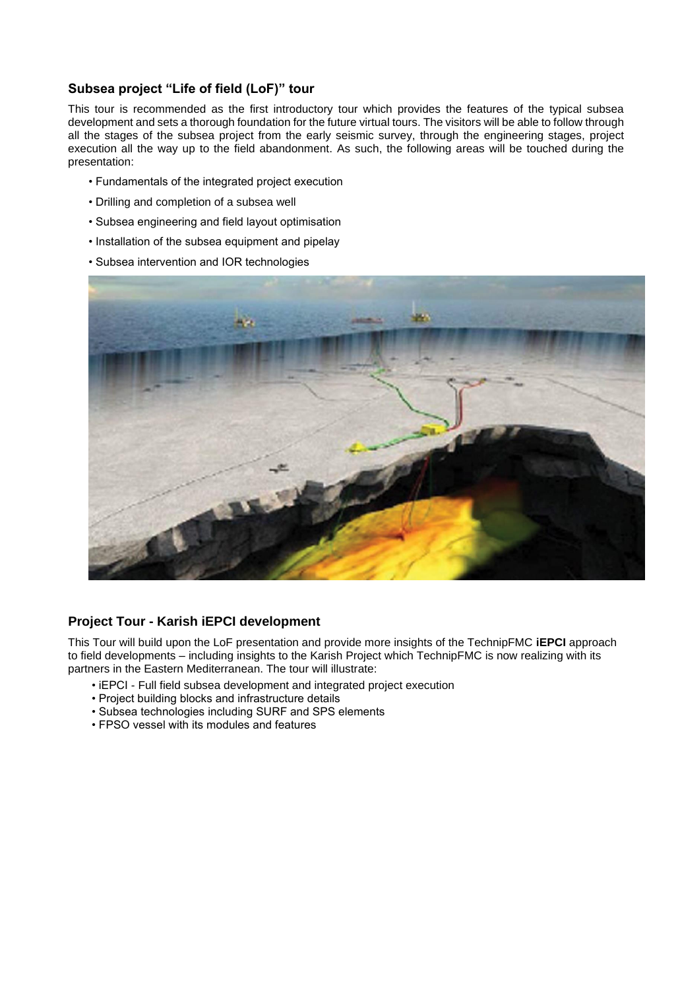## **Subsea project "Life of field (LoF)" tour**

This tour is recommended as the first introductory tour which provides the features of the typical subsea development and sets a thorough foundation for the future virtual tours. The visitors will be able to follow through all the stages of the subsea project from the early seismic survey, through the engineering stages, project execution all the way up to the field abandonment. As such, the following areas will be touched during the presentation:

- Fundamentals of the integrated project execution
- Drilling and completion of a subsea well
- Subsea engineering and field layout optimisation
- Installation of the subsea equipment and pipelay
- Subsea intervention and IOR technologies



## **Project Tour - Karish iEPCI development**

This Tour will build upon the LoF presentation and provide more insights of the TechnipFMC **iEPCI** approach to field developments – including insights to the Karish Project which TechnipFMC is now realizing with its partners in the Eastern Mediterranean. The tour will illustrate:

- iEPCI Full field subsea development and integrated project execution
- Project building blocks and infrastructure details
- Subsea technologies including SURF and SPS elements
- FPSO vessel with its modules and features